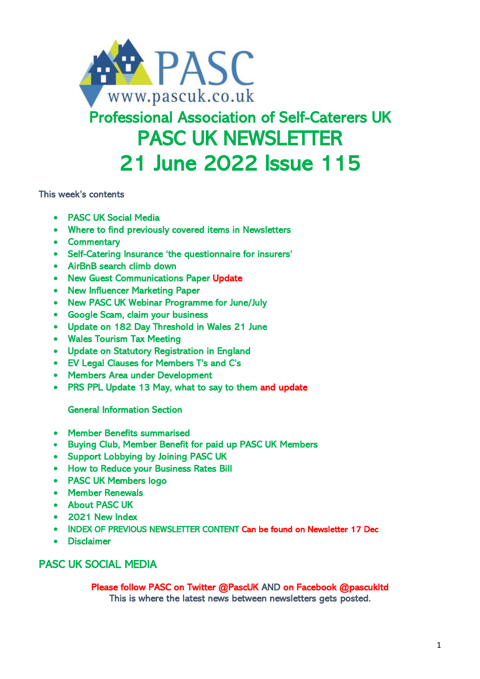

# Professional Association of Self-Caterers UK PASC UK NEWSLETTER 21 June 2022 Issue 115

This week's contents

- PASC UK Social Media
- Where to find previously covered items in Newsletters
- Commentary
- Self-Catering Insurance 'the questionnaire for insurers'
- AirBnB search climb down
- New Guest Communications Paper Update
- New Influencer Marketing Paper
- New PASC UK Webinar Programme for June/July
- Google Scam, claim your business
- Update on 182 Day Threshold in Wales 21 June
- Wales Tourism Tax Meeting
- Update on Statutory Registration in England
- EV Legal Clauses for Members T's and C's
- Members Area under Development
- PRS PPL Update 13 May, what to say to them and update

General Information Section

- Member Benefits summarised
- Buying Club, Member Benefit for paid up PASC UK Members
- Support Lobbying by Joining PASC UK
- How to Reduce your Business Rates Bill
- PASC UK Members logo
- Member Renewals
- About PASC UK
- 2021 New Index
- INDEX OF PREVIOUS NEWSLETTER CONTENT Can be found on Newsletter 17 Dec
- **Disclaimer**

# PASC UK SOCIAL MEDIA

Please follow PASC on Twitter @PascUK AND on Facebook @pascukltd This is where the latest news between newsletters gets posted.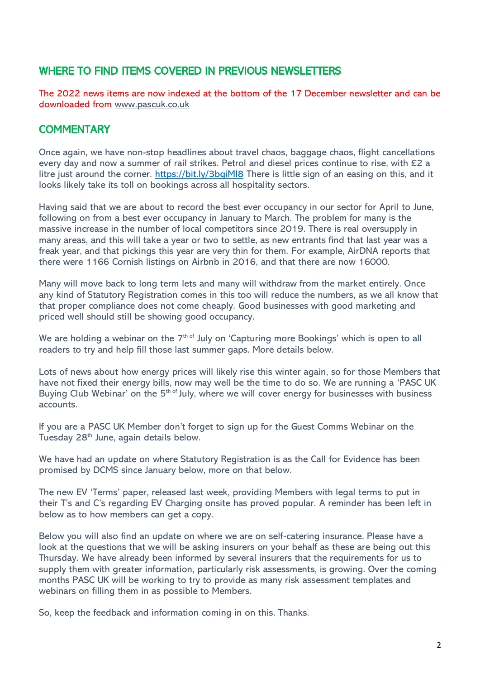# WHERE TO FIND ITEMS COVERED IN PREVIOUS NEWSLETTERS

The 2022 news items are now indexed at the bottom of the 17 December newsletter and can be downloaded from [www.pascuk.co.uk](http://www.pascuk.co.uk/)

### **COMMENTARY**

Once again, we have non-stop headlines about travel chaos, baggage chaos, flight cancellations every day and now a summer of rail strikes. Petrol and diesel prices continue to rise, with £2 a litre just around the corner.<https://bit.ly/3bgiMl8> There is little sign of an easing on this, and it looks likely take its toll on bookings across all hospitality sectors.

Having said that we are about to record the best ever occupancy in our sector for April to June, following on from a best ever occupancy in January to March. The problem for many is the massive increase in the number of local competitors since 2019. There is real oversupply in many areas, and this will take a year or two to settle, as new entrants find that last year was a freak year, and that pickings this year are very thin for them. For example, AirDNA reports that there were 1166 Cornish listings on Airbnb in 2016, and that there are now 16000.

Many will move back to long term lets and many will withdraw from the market entirely. Once any kind of Statutory Registration comes in this too will reduce the numbers, as we all know that that proper compliance does not come cheaply. Good businesses with good marketing and priced well should still be showing good occupancy.

We are holding a webinar on the  $7<sup>th of</sup>$  July on 'Capturing more Bookings' which is open to all readers to try and help fill those last summer gaps. More details below.

Lots of news about how energy prices will likely rise this winter again, so for those Members that have not fixed their energy bills, now may well be the time to do so. We are running a 'PASC UK Buying Club Webinar' on the 5<sup>th of</sup> July, where we will cover energy for businesses with business accounts.

If you are a PASC UK Member don't forget to sign up for the Guest Comms Webinar on the Tuesday 28<sup>th</sup> June, again details below.

We have had an update on where Statutory Registration is as the Call for Evidence has been promised by DCMS since January below, more on that below.

The new EV 'Terms' paper, released last week, providing Members with legal terms to put in their T's and C's regarding EV Charging onsite has proved popular. A reminder has been left in below as to how members can get a copy.

Below you will also find an update on where we are on self-catering insurance. Please have a look at the questions that we will be asking insurers on your behalf as these are being out this Thursday. We have already been informed by several insurers that the requirements for us to supply them with greater information, particularly risk assessments, is growing. Over the coming months PASC UK will be working to try to provide as many risk assessment templates and webinars on filling them in as possible to Members.

So, keep the feedback and information coming in on this. Thanks.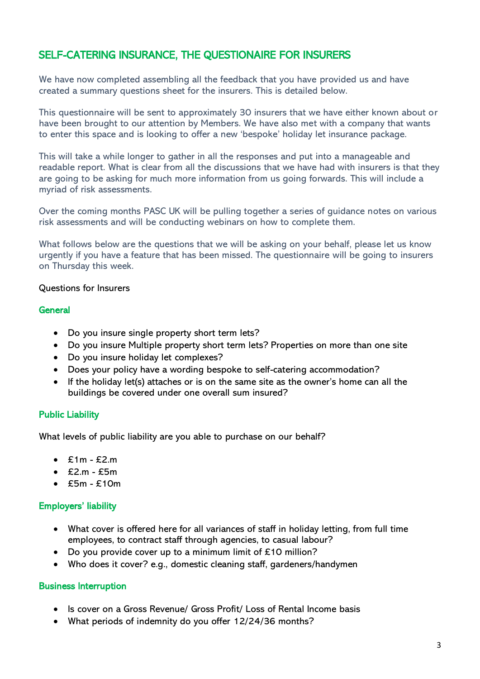# SELF-CATERING INSURANCE, THE QUESTIONAIRE FOR INSURERS

We have now completed assembling all the feedback that you have provided us and have created a summary questions sheet for the insurers. This is detailed below.

This questionnaire will be sent to approximately 30 insurers that we have either known about or have been brought to our attention by Members. We have also met with a company that wants to enter this space and is looking to offer a new 'bespoke' holiday let insurance package.

This will take a while longer to gather in all the responses and put into a manageable and readable report. What is clear from all the discussions that we have had with insurers is that they are going to be asking for much more information from us going forwards. This will include a myriad of risk assessments.

Over the coming months PASC UK will be pulling together a series of guidance notes on various risk assessments and will be conducting webinars on how to complete them.

What follows below are the questions that we will be asking on your behalf, please let us know urgently if you have a feature that has been missed. The questionnaire will be going to insurers on Thursday this week.

#### Questions for Insurers

#### **General**

- Do you insure single property short term lets?
- Do you insure Multiple property short term lets? Properties on more than one site
- Do you insure holiday let complexes?
- Does your policy have a wording bespoke to self-catering accommodation?
- If the holiday let(s) attaches or is on the same site as the owner's home can all the buildings be covered under one overall sum insured?

#### Public Liability

What levels of public liability are you able to purchase on our behalf?

- $\cdot$  £1m £2.m
- $\cdot$  £2.m £5m
- $\cdot$  £5m £10m

### Employers' liability

- What cover is offered here for all variances of staff in holiday letting, from full time employees, to contract staff through agencies, to casual labour?
- Do you provide cover up to a minimum limit of  $£10$  million?
- Who does it cover? e.g., domestic cleaning staff, gardeners/handymen

#### Business Interruption

- Is cover on a Gross Revenue/ Gross Profit/ Loss of Rental Income basis
- What periods of indemnity do you offer 12/24/36 months?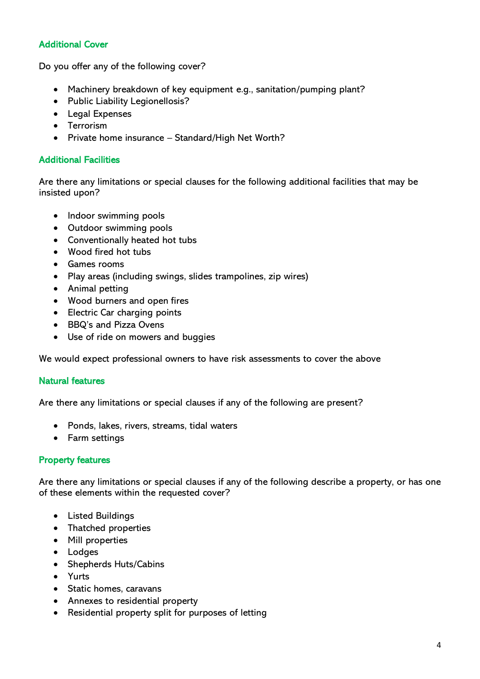### Additional Cover

Do you offer any of the following cover?

- Machinery breakdown of key equipment e.g., sanitation/pumping plant?
- Public Liability Legionellosis?
- Legal Expenses
- Terrorism
- Private home insurance Standard/High Net Worth?

#### Additional Facilities

Are there any limitations or special clauses for the following additional facilities that may be insisted upon?

- Indoor swimming pools
- Outdoor swimming pools
- Conventionally heated hot tubs
- Wood fired hot tubs
- Games rooms
- Play areas (including swings, slides trampolines, zip wires)
- Animal petting
- Wood burners and open fires
- Electric Car charging points
- BBQ's and Pizza Ovens
- Use of ride on mowers and buggies

We would expect professional owners to have risk assessments to cover the above

#### Natural features

Are there any limitations or special clauses if any of the following are present?

- Ponds, lakes, rivers, streams, tidal waters
- Farm settings

#### Property features

Are there any limitations or special clauses if any of the following describe a property, or has one of these elements within the requested cover?

- Listed Buildings
- Thatched properties
- Mill properties
- Lodges
- Shepherds Huts/Cabins
- Yurts
- Static homes, caravans
- Annexes to residential property
- Residential property split for purposes of letting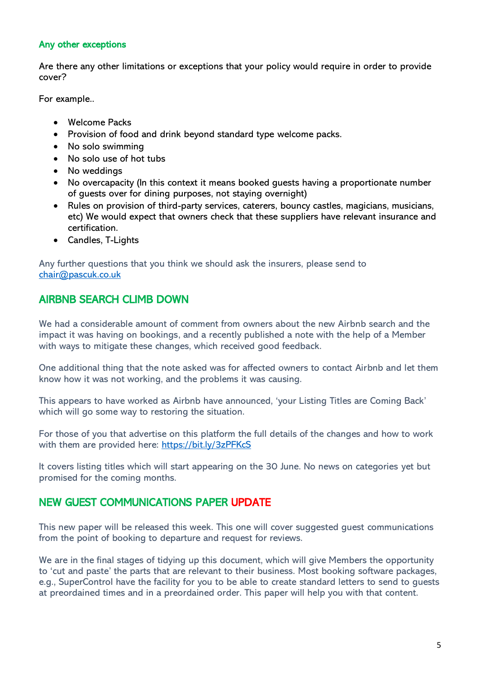#### Any other exceptions

Are there any other limitations or exceptions that your policy would require in order to provide cover?

For example..

- Welcome Packs
- Provision of food and drink beyond standard type welcome packs.
- No solo swimming
- No solo use of hot tubs
- No weddings
- No overcapacity (In this context it means booked guests having a proportionate number of guests over for dining purposes, not staying overnight)
- Rules on provision of third-party services, caterers, bouncy castles, magicians, musicians, etc) We would expect that owners check that these suppliers have relevant insurance and certification.
- Candles, T-Lights

Any further questions that you think we should ask the insurers, please send to [chair@pascuk.co.uk](mailto:chair@pascuk.co.uk) 

# AIRBNB SEARCH CLIMB DOWN

We had a considerable amount of comment from owners about the new Airbnb search and the impact it was having on bookings, and a recently published a note with the help of a Member with ways to mitigate these changes, which received good feedback.

One additional thing that the note asked was for affected owners to contact Airbnb and let them know how it was not working, and the problems it was causing.

This appears to have worked as Airbnb have announced, 'your Listing Titles are Coming Back' which will go some way to restoring the situation.

For those of you that advertise on this platform the full details of the changes and how to work with them are provided here: https://bit.ly/3zPFKcS

It covers listing titles which will start appearing on the 30 June. No news on categories yet but promised for the coming months.

# NEW GUEST COMMUNICATIONS PAPER UPDATE

This new paper will be released this week. This one will cover suggested guest communications from the point of booking to departure and request for reviews.

We are in the final stages of tidying up this document, which will give Members the opportunity to 'cut and paste' the parts that are relevant to their business. Most booking software packages, e.g., SuperControl have the facility for you to be able to create standard letters to send to guests at preordained times and in a preordained order. This paper will help you with that content.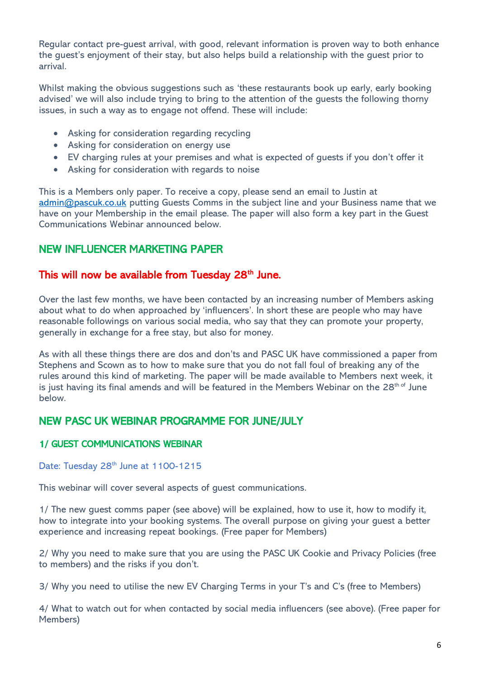Regular contact pre-guest arrival, with good, relevant information is proven way to both enhance the guest's enjoyment of their stay, but also helps build a relationship with the guest prior to arrival.

Whilst making the obvious suggestions such as 'these restaurants book up early, early booking advised' we will also include trying to bring to the attention of the guests the following thorny issues, in such a way as to engage not offend. These will include:

- Asking for consideration regarding recycling
- Asking for consideration on energy use
- EV charging rules at your premises and what is expected of guests if you don't offer it
- Asking for consideration with regards to noise

This is a Members only paper. To receive a copy, please send an email to Justin at [admin@pascuk.co.uk](mailto:admin@pascuk.co.uk) putting Guests Comms in the subject line and your Business name that we have on your Membership in the email please. The paper will also form a key part in the Guest Communications Webinar announced below.

# NEW INFLUENCER MARKETING PAPER

### This will now be available from Tuesday 28<sup>th</sup> June.

Over the last few months, we have been contacted by an increasing number of Members asking about what to do when approached by 'influencers'. In short these are people who may have reasonable followings on various social media, who say that they can promote your property, generally in exchange for a free stay, but also for money.

As with all these things there are dos and don'ts and PASC UK have commissioned a paper from Stephens and Scown as to how to make sure that you do not fall foul of breaking any of the rules around this kind of marketing. The paper will be made available to Members next week, it is just having its final amends and will be featured in the Members Webinar on the  $28<sup>th of</sup>$  June below.

# NEW PASC UK WEBINAR PROGRAMME FOR JUNE/JULY

#### 1/ GUEST COMMUNICATIONS WEBINAR

### Date: Tuesday 28<sup>th</sup> June at 1100-1215

This webinar will cover several aspects of guest communications.

1/ The new guest comms paper (see above) will be explained, how to use it, how to modify it, how to integrate into your booking systems. The overall purpose on giving your guest a better experience and increasing repeat bookings. (Free paper for Members)

2/ Why you need to make sure that you are using the PASC UK Cookie and Privacy Policies (free to members) and the risks if you don't.

3/ Why you need to utilise the new EV Charging Terms in your T's and C's (free to Members)

4/ What to watch out for when contacted by social media influencers (see above). (Free paper for Members)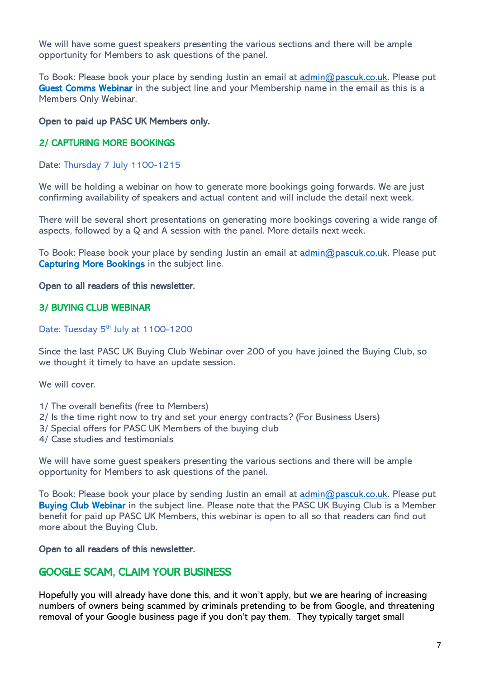We will have some guest speakers presenting the various sections and there will be ample opportunity for Members to ask questions of the panel.

To Book: Please book your place by sending Justin an email at [admin@pascuk.co.uk.](mailto:admin@pascuk.co.uk) Please put Guest Comms Webinar in the subject line and your Membership name in the email as this is a Members Only Webinar.

#### Open to paid up PASC UK Members only.

#### 2/ CAPTURING MORE BOOKINGS

Date: Thursday 7 July 1100-1215

We will be holding a webinar on how to generate more bookings going forwards. We are just confirming availability of speakers and actual content and will include the detail next week.

There will be several short presentations on generating more bookings covering a wide range of aspects, followed by a Q and A session with the panel. More details next week.

To Book: Please book your place by sending Justin an email at [admin@pascuk.co.uk.](mailto:admin@pascuk.co.uk) Please put Capturing More Bookings in the subject line.

#### Open to all readers of this newsletter.

#### 3/ BUYING CLUB WEBINAR

Date: Tuesday 5<sup>th</sup> July at 1100-1200

Since the last PASC UK Buying Club Webinar over 200 of you have joined the Buying Club, so we thought it timely to have an update session.

We will cover.

- 1/ The overall benefits (free to Members)
- 2/ Is the time right now to try and set your energy contracts? (For Business Users)
- 3/ Special offers for PASC UK Members of the buying club
- 4/ Case studies and testimonials

We will have some guest speakers presenting the various sections and there will be ample opportunity for Members to ask questions of the panel.

To Book: Please book your place by sending Justin an email at [admin@pascuk.co.uk.](mailto:admin@pascuk.co.uk) Please put Buying Club Webinar in the subject line. Please note that the PASC UK Buying Club is a Member benefit for paid up PASC UK Members, this webinar is open to all so that readers can find out more about the Buying Club.

#### Open to all readers of this newsletter.

### GOOGLE SCAM, CLAIM YOUR BUSINESS

Hopefully you will already have done this, and it won't apply, but we are hearing of increasing numbers of owners being scammed by criminals pretending to be from Google, and threatening removal of your Google business page if you don't pay them. They typically target small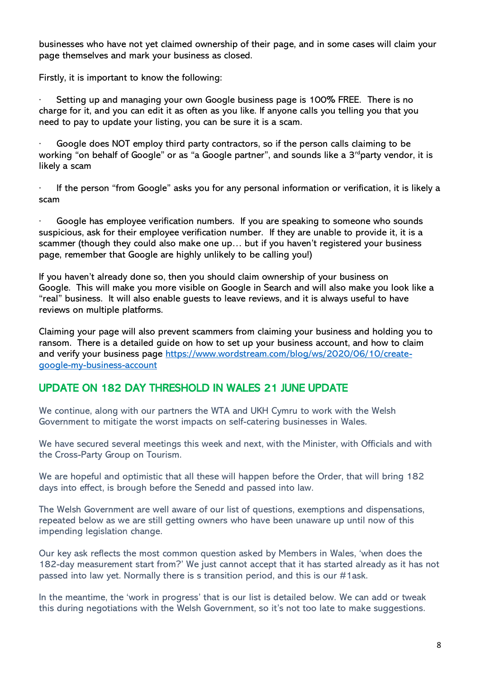businesses who have not yet claimed ownership of their page, and in some cases will claim your page themselves and mark your business as closed.

Firstly, it is important to know the following:

Setting up and managing your own Google business page is 100% FREE. There is no charge for it, and you can edit it as often as you like. If anyone calls you telling you that you need to pay to update your listing, you can be sure it is a scam.

Google does NOT employ third party contractors, so if the person calls claiming to be working "on behalf of Google" or as "a Google partner", and sounds like a  $3^{rd}$ party vendor, it is likely a scam

If the person "from Google" asks you for any personal information or verification, it is likely a scam

Google has employee verification numbers. If you are speaking to someone who sounds suspicious, ask for their employee verification number. If they are unable to provide it, it is a scammer (though they could also make one up… but if you haven't registered your business page, remember that Google are highly unlikely to be calling you!)

If you haven't already done so, then you should claim ownership of your business on Google. This will make you more visible on Google in Search and will also make you look like a "real" business. It will also enable guests to leave reviews, and it is always useful to have reviews on multiple platforms.

Claiming your page will also prevent scammers from claiming your business and holding you to ransom. There is a detailed guide on how to set up your business account, and how to claim and verify your business page [https://www.wordstream.com/blog/ws/2020/06/10/create](https://www.wordstream.com/blog/ws/2020/06/10/create-google-my-business-account)[google-my-business-account](https://www.wordstream.com/blog/ws/2020/06/10/create-google-my-business-account)

### UPDATE ON 182 DAY THRESHOLD IN WALES 21 JUNE UPDATE

We continue, along with our partners the WTA and UKH Cymru to work with the Welsh Government to mitigate the worst impacts on self-catering businesses in Wales.

We have secured several meetings this week and next, with the Minister, with Officials and with the Cross-Party Group on Tourism.

We are hopeful and optimistic that all these will happen before the Order, that will bring 182 days into effect, is brough before the Senedd and passed into law.

The Welsh Government are well aware of our list of questions, exemptions and dispensations, repeated below as we are still getting owners who have been unaware up until now of this impending legislation change.

Our key ask reflects the most common question asked by Members in Wales, 'when does the 182-day measurement start from?' We just cannot accept that it has started already as it has not passed into law yet. Normally there is s transition period, and this is our #1ask.

In the meantime, the 'work in progress' that is our list is detailed below. We can add or tweak this during negotiations with the Welsh Government, so it's not too late to make suggestions.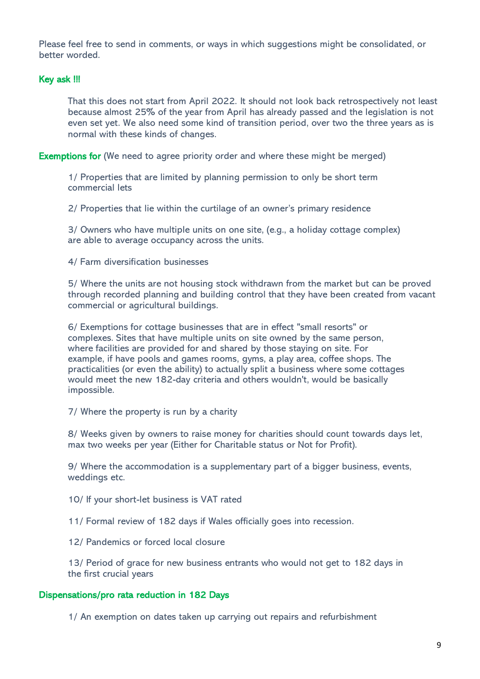Please feel free to send in comments, or ways in which suggestions might be consolidated, or better worded.

#### Key ask !!!

That this does not start from April 2022. It should not look back retrospectively not least because almost 25% of the year from April has already passed and the legislation is not even set yet. We also need some kind of transition period, over two the three years as is normal with these kinds of changes.

Exemptions for (We need to agree priority order and where these might be merged)

1/ Properties that are limited by planning permission to only be short term commercial lets

2/ Properties that lie within the curtilage of an owner's primary residence

3/ Owners who have multiple units on one site, (e.g., a holiday cottage complex) are able to average occupancy across the units.

4/ Farm diversification businesses

5/ Where the units are not housing stock withdrawn from the market but can be proved through recorded planning and building control that they have been created from vacant commercial or agricultural buildings.

6/ Exemptions for cottage businesses that are in effect "small resorts" or complexes. Sites that have multiple units on site owned by the same person, where facilities are provided for and shared by those staying on site. For example, if have pools and games rooms, gyms, a play area, coffee shops. The practicalities (or even the ability) to actually split a business where some cottages would meet the new 182-day criteria and others wouldn't, would be basically impossible.

7/ Where the property is run by a charity

8/ Weeks given by owners to raise money for charities should count towards days let, max two weeks per year (Either for Charitable status or Not for Profit).

9/ Where the accommodation is a supplementary part of a bigger business, events, weddings etc.

10/ If your short-let business is VAT rated

11/ Formal review of 182 days if Wales officially goes into recession.

12/ Pandemics or forced local closure

13/ Period of grace for new business entrants who would not get to 182 days in the first crucial years

#### Dispensations/pro rata reduction in 182 Days

1/ An exemption on dates taken up carrying out repairs and refurbishment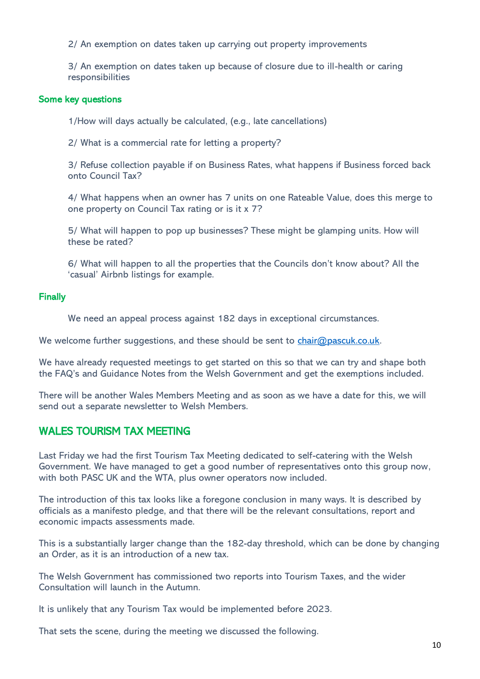2/ An exemption on dates taken up carrying out property improvements

3/ An exemption on dates taken up because of closure due to ill-health or caring responsibilities

#### Some key questions

1/How will days actually be calculated, (e.g., late cancellations)

2/ What is a commercial rate for letting a property?

3/ Refuse collection payable if on Business Rates, what happens if Business forced back onto Council Tax?

4/ What happens when an owner has 7 units on one Rateable Value, does this merge to one property on Council Tax rating or is it x 7?

5/ What will happen to pop up businesses? These might be glamping units. How will these be rated?

6/ What will happen to all the properties that the Councils don't know about? All the 'casual' Airbnb listings for example.

#### **Finally**

We need an appeal process against 182 days in exceptional circumstances.

We welcome further suggestions, and these should be sent to [chair@pascuk.co.uk.](mailto:chair@pascuk.co.uk)

We have already requested meetings to get started on this so that we can try and shape both the FAQ's and Guidance Notes from the Welsh Government and get the exemptions included.

There will be another Wales Members Meeting and as soon as we have a date for this, we will send out a separate newsletter to Welsh Members.

### WALES TOURISM TAX MEETING

Last Friday we had the first Tourism Tax Meeting dedicated to self-catering with the Welsh Government. We have managed to get a good number of representatives onto this group now, with both PASC UK and the WTA, plus owner operators now included.

The introduction of this tax looks like a foregone conclusion in many ways. It is described by officials as a manifesto pledge, and that there will be the relevant consultations, report and economic impacts assessments made.

This is a substantially larger change than the 182-day threshold, which can be done by changing an Order, as it is an introduction of a new tax.

The Welsh Government has commissioned two reports into Tourism Taxes, and the wider Consultation will launch in the Autumn.

It is unlikely that any Tourism Tax would be implemented before 2023.

That sets the scene, during the meeting we discussed the following.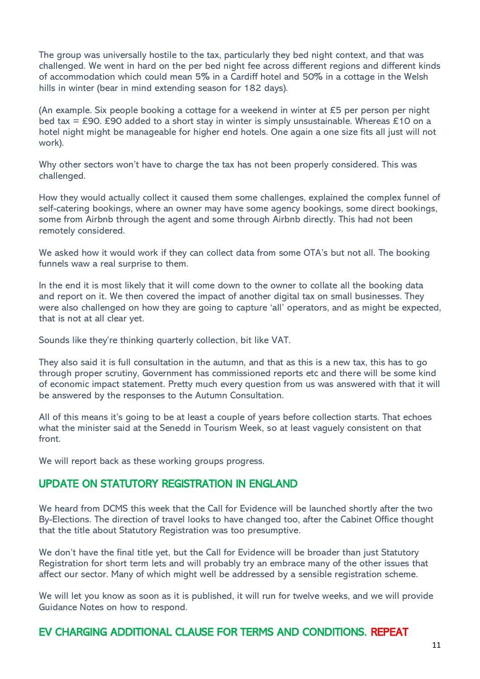The group was universally hostile to the tax, particularly they bed night context, and that was challenged. We went in hard on the per bed night fee across different regions and different kinds of accommodation which could mean 5% in a Cardiff hotel and 50% in a cottage in the Welsh hills in winter (bear in mind extending season for 182 days).

(An example. Six people booking a cottage for a weekend in winter at £5 per person per night bed tax = £90. £90 added to a short stay in winter is simply unsustainable. Whereas £10 on a hotel night might be manageable for higher end hotels. One again a one size fits all just will not work).

Why other sectors won't have to charge the tax has not been properly considered. This was challenged.

How they would actually collect it caused them some challenges, explained the complex funnel of self-catering bookings, where an owner may have some agency bookings, some direct bookings, some from Airbnb through the agent and some through Airbnb directly. This had not been remotely considered.

We asked how it would work if they can collect data from some OTA's but not all. The booking funnels waw a real surprise to them.

In the end it is most likely that it will come down to the owner to collate all the booking data and report on it. We then covered the impact of another digital tax on small businesses. They were also challenged on how they are going to capture 'all' operators, and as might be expected, that is not at all clear yet.

Sounds like they're thinking quarterly collection, bit like VAT.

They also said it is full consultation in the autumn, and that as this is a new tax, this has to go through proper scrutiny, Government has commissioned reports etc and there will be some kind of economic impact statement. Pretty much every question from us was answered with that it will be answered by the responses to the Autumn Consultation.

All of this means it's going to be at least a couple of years before collection starts. That echoes what the minister said at the Senedd in Tourism Week, so at least vaguely consistent on that front.

We will report back as these working groups progress.

### UPDATE ON STATUTORY REGISTRATION IN ENGLAND

We heard from DCMS this week that the Call for Evidence will be launched shortly after the two By-Elections. The direction of travel looks to have changed too, after the Cabinet Office thought that the title about Statutory Registration was too presumptive.

We don't have the final title yet, but the Call for Evidence will be broader than just Statutory Registration for short term lets and will probably try an embrace many of the other issues that affect our sector. Many of which might well be addressed by a sensible registration scheme.

We will let you know as soon as it is published, it will run for twelve weeks, and we will provide Guidance Notes on how to respond.

### EV CHARGING ADDITIONAL CLAUSE FOR TERMS AND CONDITIONS. REPEAT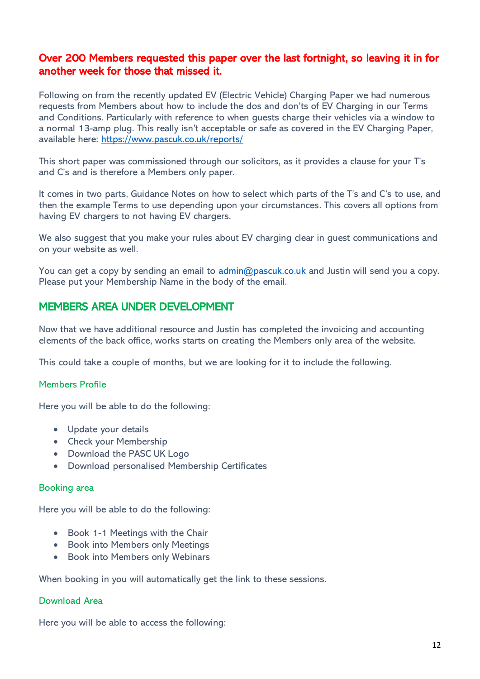### Over 200 Members requested this paper over the last fortnight, so leaving it in for another week for those that missed it.

Following on from the recently updated EV (Electric Vehicle) Charging Paper we had numerous requests from Members about how to include the dos and don'ts of EV Charging in our Terms and Conditions. Particularly with reference to when guests charge their vehicles via a window to a normal 13-amp plug. This really isn't acceptable or safe as covered in the EV Charging Paper, available here:<https://www.pascuk.co.uk/reports/>

This short paper was commissioned through our solicitors, as it provides a clause for your T's and C's and is therefore a Members only paper.

It comes in two parts, Guidance Notes on how to select which parts of the T's and C's to use, and then the example Terms to use depending upon your circumstances. This covers all options from having EV chargers to not having EV chargers.

We also suggest that you make your rules about EV charging clear in guest communications and on your website as well.

You can get a copy by sending an email to [admin@pascuk.co.uk](mailto:admin@pascuk.co.uk) and Justin will send you a copy. Please put your Membership Name in the body of the email.

### MEMBERS AREA UNDER DEVELOPMENT

Now that we have additional resource and Justin has completed the invoicing and accounting elements of the back office, works starts on creating the Members only area of the website.

This could take a couple of months, but we are looking for it to include the following.

#### Members Profile

Here you will be able to do the following:

- Update your details
- Check your Membership
- Download the PASC UK Logo
- Download personalised Membership Certificates

#### Booking area

Here you will be able to do the following:

- Book 1-1 Meetings with the Chair
- Book into Members only Meetings
- Book into Members only Webinars

When booking in you will automatically get the link to these sessions.

#### Download Area

Here you will be able to access the following: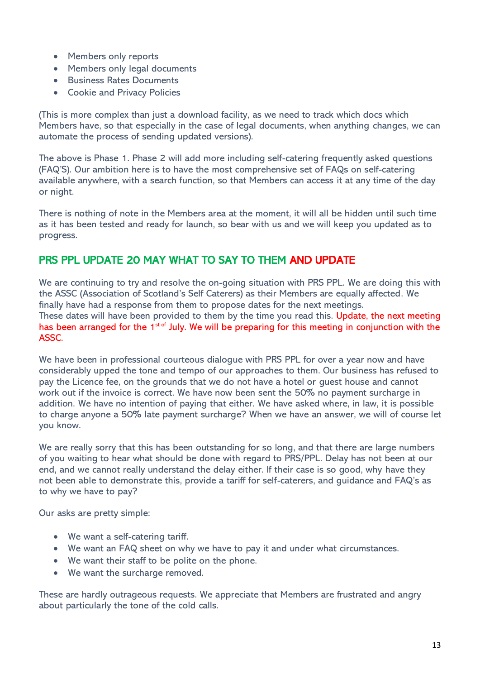- Members only reports
- Members only legal documents
- Business Rates Documents
- Cookie and Privacy Policies

(This is more complex than just a download facility, as we need to track which docs which Members have, so that especially in the case of legal documents, when anything changes, we can automate the process of sending updated versions).

The above is Phase 1. Phase 2 will add more including self-catering frequently asked questions (FAQ'S). Our ambition here is to have the most comprehensive set of FAQs on self-catering available anywhere, with a search function, so that Members can access it at any time of the day or night.

There is nothing of note in the Members area at the moment, it will all be hidden until such time as it has been tested and ready for launch, so bear with us and we will keep you updated as to progress.

# PRS PPL UPDATE 20 MAY WHAT TO SAY TO THEM AND UPDATE

We are continuing to try and resolve the on-going situation with PRS PPL. We are doing this with the ASSC (Association of Scotland's Self Caterers) as their Members are equally affected. We finally have had a response from them to propose dates for the next meetings. These dates will have been provided to them by the time you read this. Update, the next meeting has been arranged for the 1<sup>st of</sup> July. We will be preparing for this meeting in conjunction with the ASSC.

We have been in professional courteous dialogue with PRS PPL for over a year now and have considerably upped the tone and tempo of our approaches to them. Our business has refused to pay the Licence fee, on the grounds that we do not have a hotel or guest house and cannot work out if the invoice is correct. We have now been sent the 50% no payment surcharge in addition. We have no intention of paying that either. We have asked where, in law, it is possible to charge anyone a 50% late payment surcharge? When we have an answer, we will of course let you know.

We are really sorry that this has been outstanding for so long, and that there are large numbers of you waiting to hear what should be done with regard to PRS/PPL. Delay has not been at our end, and we cannot really understand the delay either. If their case is so good, why have they not been able to demonstrate this, provide a tariff for self-caterers, and guidance and FAQ's as to why we have to pay?

Our asks are pretty simple:

- We want a self-catering tariff.
- We want an FAQ sheet on why we have to pay it and under what circumstances.
- We want their staff to be polite on the phone.
- We want the surcharge removed.

These are hardly outrageous requests. We appreciate that Members are frustrated and angry about particularly the tone of the cold calls.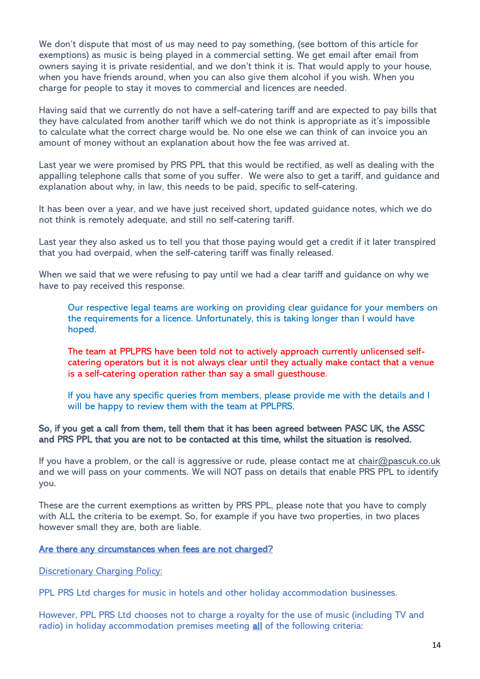We don't dispute that most of us may need to pay something, (see bottom of this article for exemptions) as music is being played in a commercial setting. We get email after email from owners saying it is private residential, and we don't think it is. That would apply to your house, when you have friends around, when you can also give them alcohol if you wish. When you charge for people to stay it moves to commercial and licences are needed.

Having said that we currently do not have a self-catering tariff and are expected to pay bills that they have calculated from another tariff which we do not think is appropriate as it's impossible to calculate what the correct charge would be. No one else we can think of can invoice you an amount of money without an explanation about how the fee was arrived at.

Last year we were promised by PRS PPL that this would be rectified, as well as dealing with the appalling telephone calls that some of you suffer. We were also to get a tariff, and guidance and explanation about why, in law, this needs to be paid, specific to self-catering.

It has been over a year, and we have just received short, updated guidance notes, which we do not think is remotely adequate, and still no self-catering tariff.

Last year they also asked us to tell you that those paying would get a credit if it later transpired that you had overpaid, when the self-catering tariff was finally released.

When we said that we were refusing to pay until we had a clear tariff and guidance on why we have to pay received this response.

Our respective legal teams are working on providing clear guidance for your members on the requirements for a licence. Unfortunately, this is taking longer than I would have hoped.

The team at PPLPRS have been told not to actively approach currently unlicensed selfcatering operators but it is not always clear until they actually make contact that a venue is a self-catering operation rather than say a small guesthouse.

If you have any specific queries from members, please provide me with the details and I will be happy to review them with the team at PPLPRS.

#### So, if you get a call from them, tell them that it has been agreed between PASC UK, the ASSC and PRS PPL that you are not to be contacted at this time, whilst the situation is resolved.

If you have a problem, or the call is aggressive or rude, please contact me at  $\frac{\text{chair}(Q)\text{pascuk.co.uk}}{\text{pascuk.co.uk}}$ and we will pass on your comments. We will NOT pass on details that enable PRS PPL to identify you.

These are the current exemptions as written by PRS PPL, please note that you have to comply with ALL the criteria to be exempt. So, for example if you have two properties, in two places however small they are, both are liable.

#### Are there any circumstances when fees are not charged?

**Discretionary Charging Policy:** 

PPL PRS Ltd charges for music in hotels and other holiday accommodation businesses.

However, PPL PRS Ltd chooses not to charge a royalty for the use of music (including TV and radio) in holiday accommodation premises meeting all of the following criteria: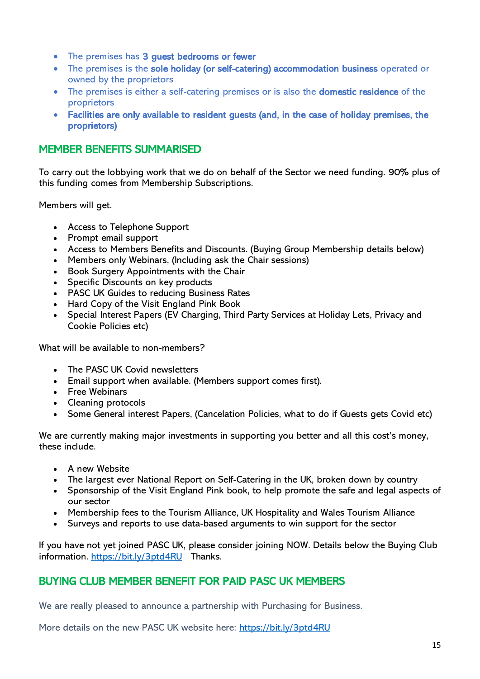- The premises has 3 guest bedrooms or fewer
- The premises is the sole holiday (or self-catering) accommodation business operated or owned by the proprietors
- The premises is either a self-catering premises or is also the domestic residence of the proprietors
- Facilities are only available to resident guests (and, in the case of holiday premises, the proprietors)

## MEMBER BENEFITS SUMMARISED

To carry out the lobbying work that we do on behalf of the Sector we need funding. 90% plus of this funding comes from Membership Subscriptions.

Members will get.

- Access to Telephone Support
- Prompt email support
- Access to Members Benefits and Discounts. (Buying Group Membership details below)
- Members only Webinars, (Including ask the Chair sessions)
- Book Surgery Appointments with the Chair
- Specific Discounts on key products
- PASC UK Guides to reducing Business Rates
- Hard Copy of the Visit England Pink Book
- Special Interest Papers (EV Charging, Third Party Services at Holiday Lets, Privacy and Cookie Policies etc)

What will be available to non-members?

- The PASC UK Covid newsletters
- Email support when available. (Members support comes first).
- Free Webinars
- Cleaning protocols
- Some General interest Papers, (Cancelation Policies, what to do if Guests gets Covid etc)

We are currently making major investments in supporting you better and all this cost's money, these include.

- A new Website
- The largest ever National Report on Self-Catering in the UK, broken down by country
- Sponsorship of the Visit England Pink book, to help promote the safe and legal aspects of our sector
- Membership fees to the Tourism Alliance, UK Hospitality and Wales Tourism Alliance
- Surveys and reports to use data-based arguments to win support for the sector

If you have not yet joined PASC UK, please consider joining NOW. Details below the Buying Club information.<https://bit.ly/3ptd4RU>Thanks.

### BUYING CLUB MEMBER BENEFIT FOR PAID PASC UK MEMBERS

We are really pleased to announce a partnership with Purchasing for Business.

More details on the new PASC UK website here:<https://bit.ly/3ptd4RU>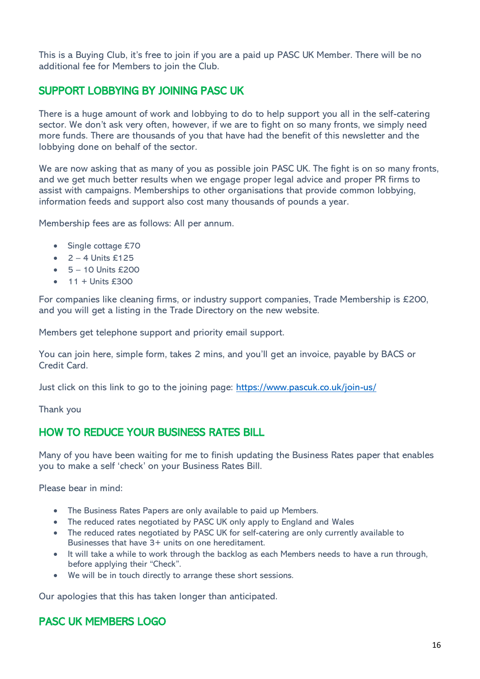This is a Buying Club, it's free to join if you are a paid up PASC UK Member. There will be no additional fee for Members to join the Club.

# SUPPORT LOBBYING BY JOINING PASC UK

There is a huge amount of work and lobbying to do to help support you all in the self-catering sector. We don't ask very often, however, if we are to fight on so many fronts, we simply need more funds. There are thousands of you that have had the benefit of this newsletter and the lobbying done on behalf of the sector.

We are now asking that as many of you as possible join PASC UK. The fight is on so many fronts, and we get much better results when we engage proper legal advice and proper PR firms to assist with campaigns. Memberships to other organisations that provide common lobbying, information feeds and support also cost many thousands of pounds a year.

Membership fees are as follows: All per annum.

- Single cottage £70
- $\bullet$  2 4 Units £125
- $\bullet$  5 10 Units £200
- $\bullet$  11 + Units £300

For companies like cleaning firms, or industry support companies, Trade Membership is £200, and you will get a listing in the Trade Directory on the new website.

Members get telephone support and priority email support.

You can join here, simple form, takes 2 mins, and you'll get an invoice, payable by BACS or Credit Card.

Just click on this link to go to the joining page:<https://www.pascuk.co.uk/join-us/>

Thank you

# HOW TO REDUCE YOUR BUSINESS RATES BILL

Many of you have been waiting for me to finish updating the Business Rates paper that enables you to make a self 'check' on your Business Rates Bill.

Please bear in mind:

- The Business Rates Papers are only available to paid up Members.
- The reduced rates negotiated by PASC UK only apply to England and Wales
- The reduced rates negotiated by PASC UK for self-catering are only currently available to Businesses that have 3+ units on one hereditament.
- It will take a while to work through the backlog as each Members needs to have a run through, before applying their "Check".
- We will be in touch directly to arrange these short sessions.

Our apologies that this has taken longer than anticipated.

# PASC UK MEMBERS LOGO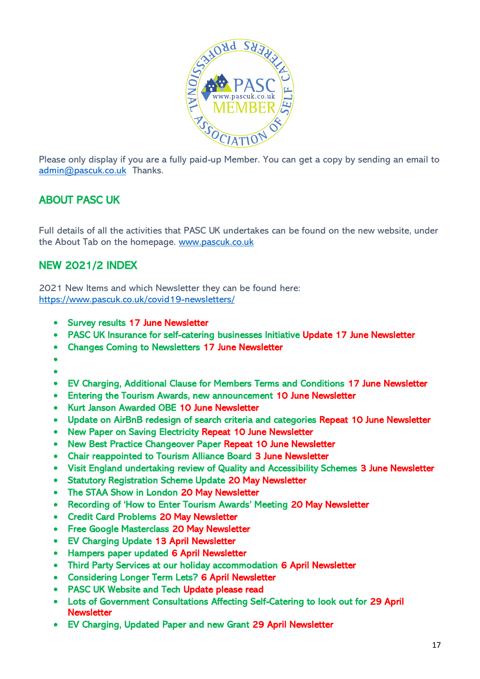

Please only display if you are a fully paid-up Member. You can get a copy by sending an email to [admin@pascuk.co.uk](mailto:admin@pascuk.co.uk) Thanks.

# ABOUT PASC UK

Full details of all the activities that PASC UK undertakes can be found on the new website, under the About Tab on the homepage. [www.pascuk.co.uk](http://www.pascuk.co.uk/)

# NEW 2021/2 INDEX

2021 New Items and which Newsletter they can be found here: <https://www.pascuk.co.uk/covid19-newsletters/>

- Survey results 17 June Newsletter
- PASC UK Insurance for self-catering businesses Initiative Update 17 June Newsletter
- Changes Coming to Newsletters 17 June Newsletter
- •
- •
- EV Charging, Additional Clause for Members Terms and Conditions 17 June Newsletter
- Entering the Tourism Awards, new announcement 10 June Newsletter
- Kurt Janson Awarded OBE 10 June Newsletter
- Update on AirBnB redesign of search criteria and categories Repeat 10 June Newsletter
- New Paper on Saving Electricity Repeat 10 June Newsletter
- New Best Practice Changeover Paper Repeat 10 June Newsletter
- Chair reappointed to Tourism Alliance Board 3 June Newsletter
- Visit England undertaking review of Quality and Accessibility Schemes 3 June Newsletter
- Statutory Registration Scheme Update 20 May Newsletter
- The STAA Show in London 20 May Newsletter
- Recording of 'How to Enter Tourism Awards' Meeting 20 May Newsletter
- Credit Card Problems 20 May Newsletter
- Free Google Masterclass 20 May Newsletter
- EV Charging Update 13 April Newsletter
- Hampers paper updated 6 April Newsletter
- Third Party Services at our holiday accommodation 6 April Newsletter
- Considering Longer Term Lets? 6 April Newsletter
- PASC UK Website and Tech Update please read
- Lots of Government Consultations Affecting Self-Catering to look out for 29 April **Newsletter**
- EV Charging, Updated Paper and new Grant 29 April Newsletter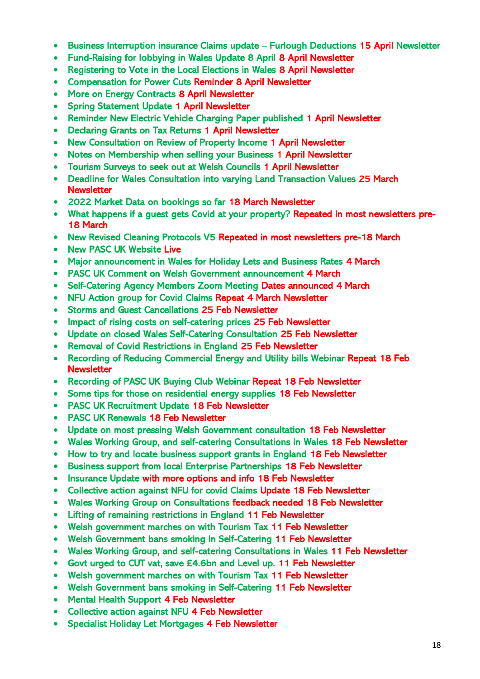- Business Interruption insurance Claims update Furlough Deductions 15 April Newsletter
- Fund-Raising for lobbying in Wales Update 8 April 8 April Newsletter
- Registering to Vote in the Local Elections in Wales 8 April Newsletter
- Compensation for Power Cuts Reminder 8 April Newsletter
- More on Energy Contracts 8 April Newsletter
- Spring Statement Update 1 April Newsletter
- Reminder New Electric Vehicle Charging Paper published 1 April Newsletter
- Declaring Grants on Tax Returns 1 April Newsletter
- New Consultation on Review of Property Income 1 April Newsletter
- Notes on Membership when selling your Business 1 April Newsletter
- Tourism Surveys to seek out at Welsh Councils 1 April Newsletter
- Deadline for Wales Consultation into varying Land Transaction Values 25 March **Newsletter**
- 2022 Market Data on bookings so far 18 March Newsletter
- What happens if a guest gets Covid at your property? Repeated in most newsletters pre-18 March
- New Revised Cleaning Protocols V5 Repeated in most newsletters pre-18 March
- New PASC UK Website Live
- Major announcement in Wales for Holiday Lets and Business Rates 4 March
- PASC UK Comment on Welsh Government announcement 4 March
- Self-Catering Agency Members Zoom Meeting Dates announced 4 March
- NFU Action group for Covid Claims Repeat 4 March Newsletter
- Storms and Guest Cancellations 25 Feb Newsletter
- Impact of rising costs on self-catering prices 25 Feb Newsletter
- Update on closed Wales Self-Catering Consultation 25 Feb Newsletter
- Removal of Covid Restrictions in England 25 Feb Newsletter
- Recording of Reducing Commercial Energy and Utility bills Webinar Repeat 18 Feb **Newsletter**
- Recording of PASC UK Buying Club Webinar Repeat 18 Feb Newsletter
- Some tips for those on residential energy supplies 18 Feb Newsletter
- PASC UK Recruitment Update 18 Feb Newsletter
- PASC UK Renewals 18 Feb Newsletter
- Update on most pressing Welsh Government consultation 18 Feb Newsletter
- Wales Working Group, and self-catering Consultations in Wales 18 Feb Newsletter
- How to try and locate business support grants in England 18 Feb Newsletter
- Business support from local Enterprise Partnerships 18 Feb Newsletter
- Insurance Update with more options and info 18 Feb Newsletter
- Collective action against NFU for covid Claims Update 18 Feb Newsletter
- Wales Working Group on Consultations feedback needed 18 Feb Newsletter
- Lifting of remaining restrictions in England 11 Feb Newsletter
- Welsh government marches on with Tourism Tax 11 Feb Newsletter
- Welsh Government bans smoking in Self-Catering 11 Feb Newsletter
- Wales Working Group, and self-catering Consultations in Wales 11 Feb Newsletter
- Govt urged to CUT vat, save £4.6bn and Level up. 11 Feb Newsletter
- Welsh government marches on with Tourism Tax 11 Feb Newsletter
- Welsh Government bans smoking in Self-Catering 11 Feb Newsletter
- Mental Health Support 4 Feb Newsletter
- Collective action against NFU 4 Feb Newsletter
- Specialist Holiday Let Mortgages 4 Feb Newsletter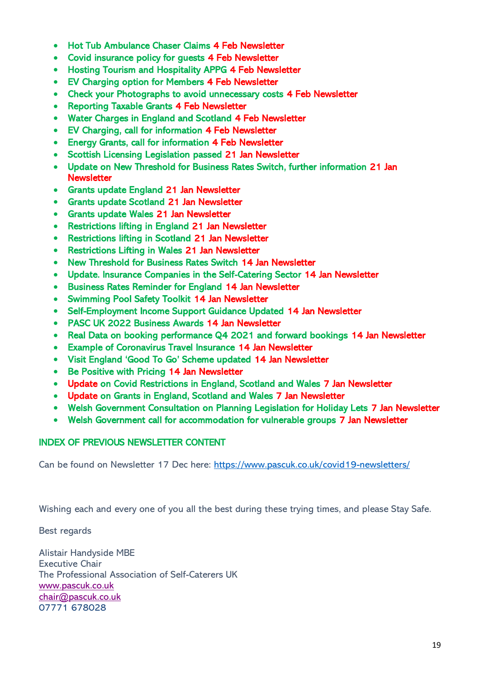- Hot Tub Ambulance Chaser Claims 4 Feb Newsletter
- Covid insurance policy for guests 4 Feb Newsletter
- Hosting Tourism and Hospitality APPG 4 Feb Newsletter
- EV Charging option for Members 4 Feb Newsletter
- Check your Photographs to avoid unnecessary costs 4 Feb Newsletter
- Reporting Taxable Grants 4 Feb Newsletter
- Water Charges in England and Scotland 4 Feb Newsletter
- EV Charging, call for information 4 Feb Newsletter
- Energy Grants, call for information 4 Feb Newsletter
- Scottish Licensing Legislation passed 21 Jan Newsletter
- Update on New Threshold for Business Rates Switch, further information 21 Jan **Newsletter**
- Grants update England 21 Jan Newsletter
- Grants update Scotland 21 Jan Newsletter
- Grants update Wales 21 Jan Newsletter
- Restrictions lifting in England 21 Jan Newsletter
- Restrictions lifting in Scotland 21 Jan Newsletter
- Restrictions Lifting in Wales 21 Jan Newsletter
- New Threshold for Business Rates Switch 14 Jan Newsletter
- Update. Insurance Companies in the Self-Catering Sector 14 Jan Newsletter
- Business Rates Reminder for England 14 Jan Newsletter
- Swimming Pool Safety Toolkit 14 Jan Newsletter
- Self-Employment Income Support Guidance Updated 14 Jan Newsletter
- PASC UK 2022 Business Awards 14 Jan Newsletter
- Real Data on booking performance Q4 2021 and forward bookings 14 Jan Newsletter
- Example of Coronavirus Travel Insurance 14 Jan Newsletter
- Visit England 'Good To Go' Scheme updated 14 Jan Newsletter
- Be Positive with Pricing 14 Jan Newsletter
- Update on Covid Restrictions in England, Scotland and Wales 7 Jan Newsletter
- Update on Grants in England, Scotland and Wales 7 Jan Newsletter
- Welsh Government Consultation on Planning Legislation for Holiday Lets 7 Jan Newsletter
- Welsh Government call for accommodation for vulnerable groups 7 Jan Newsletter

#### INDEX OF PREVIOUS NEWSLETTER CONTENT

Can be found on Newsletter 17 Dec here:<https://www.pascuk.co.uk/covid19-newsletters/>

Wishing each and every one of you all the best during these trying times, and please Stay Safe.

Best regards

Alistair Handyside MBE Executive Chair The Professional Association of Self-Caterers UK [www.pascuk.co.uk](http://www.pascuk.co.uk/) [chair@pascuk.co.uk](mailto:chair@pascuk.co.uk) 07771 678028